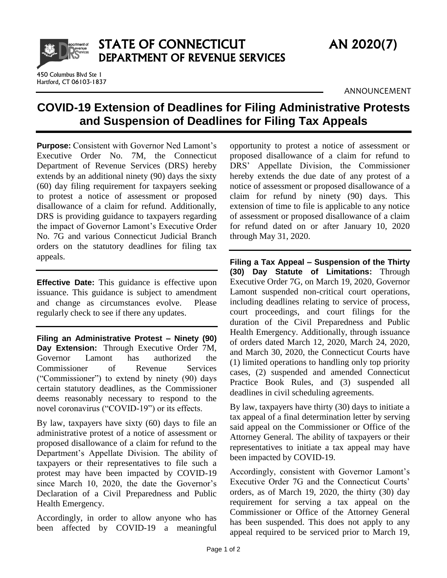

450 Columbus Blvd Ste 1 Hartford, CT 06103-1837

ANNOUNCEMENT

## **COVID-19 Extension of Deadlines for Filing Administrative Protests and Suspension of Deadlines for Filing Tax Appeals**

**Purpose:** Consistent with Governor Ned Lamont's Executive Order No. 7M, the Connecticut Department of Revenue Services (DRS) hereby extends by an additional ninety (90) days the sixty (60) day filing requirement for taxpayers seeking to protest a notice of assessment or proposed disallowance of a claim for refund. Additionally, DRS is providing guidance to taxpayers regarding the impact of Governor Lamont's Executive Order No. 7G and various Connecticut Judicial Branch orders on the statutory deadlines for filing tax appeals.

**Effective Date:** This guidance is effective upon issuance. This guidance is subject to amendment and change as circumstances evolve. Please regularly check to see if there any updates.

**Filing an Administrative Protest – Ninety (90) Day Extension:** Through Executive Order 7M, Governor Lamont has authorized the Commissioner of Revenue Services ("Commissioner") to extend by ninety (90) days certain statutory deadlines, as the Commissioner deems reasonably necessary to respond to the novel coronavirus ("COVID-19") or its effects.

By law, taxpayers have sixty (60) days to file an administrative protest of a notice of assessment or proposed disallowance of a claim for refund to the Department's Appellate Division. The ability of taxpayers or their representatives to file such a protest may have been impacted by COVID-19 since March 10, 2020, the date the Governor's Declaration of a Civil Preparedness and Public Health Emergency.

Accordingly, in order to allow anyone who has been affected by COVID-19 a meaningful

opportunity to protest a notice of assessment or proposed disallowance of a claim for refund to DRS' Appellate Division, the Commissioner hereby extends the due date of any protest of a notice of assessment or proposed disallowance of a claim for refund by ninety (90) days. This extension of time to file is applicable to any notice of assessment or proposed disallowance of a claim for refund dated on or after January 10, 2020 through May 31, 2020.

**Filing a Tax Appeal – Suspension of the Thirty (30) Day Statute of Limitations:** Through Executive Order 7G, on March 19, 2020, Governor Lamont suspended non-critical court operations, including deadlines relating to service of process, court proceedings, and court filings for the duration of the Civil Preparedness and Public Health Emergency. Additionally, through issuance of orders dated March 12, 2020, March 24, 2020, and March 30, 2020, the Connecticut Courts have (1) limited operations to handling only top priority cases, (2) suspended and amended Connecticut Practice Book Rules, and (3) suspended all deadlines in civil scheduling agreements.

By law, taxpayers have thirty (30) days to initiate a tax appeal of a final determination letter by serving said appeal on the Commissioner or Office of the Attorney General. The ability of taxpayers or their representatives to initiate a tax appeal may have been impacted by COVID-19.

Accordingly, consistent with Governor Lamont's Executive Order 7G and the Connecticut Courts' orders, as of March 19, 2020, the thirty (30) day requirement for serving a tax appeal on the Commissioner or Office of the Attorney General has been suspended. This does not apply to any appeal required to be serviced prior to March 19,